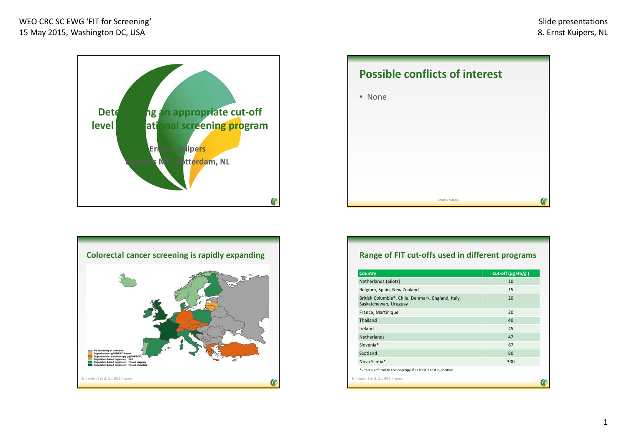





# **Range of FIT cut‐offs used in different programs**

| <b>Country</b>                                                              | Cut-off ( $\mu$ g Hb/g) |
|-----------------------------------------------------------------------------|-------------------------|
| Netherlands (pilots)                                                        | 10                      |
| Belgium, Spain, New Zealand                                                 | 15                      |
| British Columbia*, Chile, Denmark, England, Italy,<br>Saskatchewan, Uruguay | 20                      |
| France, Martinique                                                          | 30                      |
| Thailand                                                                    | 40                      |
| Ireland                                                                     | 45                      |
| Netherlands                                                                 | 47                      |
| Slovenia*                                                                   | 67                      |
| Scotland                                                                    | 80                      |
| Nova Scotia*                                                                | 300                     |
| *2 tests; referral to colonoscopy if at least 1 test is positive            |                         |
| Schreuders E et al. Gut 2015; in press                                      |                         |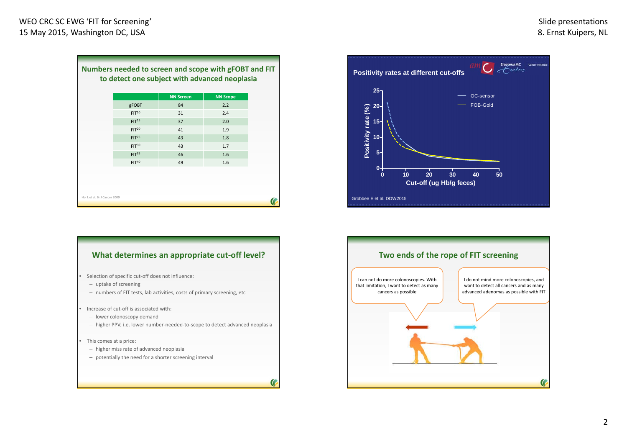|                   | <b>NN Screen</b> | <b>NN Scope</b> |
|-------------------|------------------|-----------------|
| gFOBT             | 84               | 2.2             |
| $FIT^{10}$        | 31               | 2.4             |
| FIT <sup>15</sup> | 37               | 2.0             |
| FIT <sup>20</sup> | 41               | 1.9             |
| FIT <sup>25</sup> | 43               | 1.8             |
| $FIT^{30}$        | 43               | 1.7             |
| FIT <sup>35</sup> | 46               | 1.6             |
| $FIT^{40}$        | 49               | 1.6             |
|                   |                  |                 |
|                   |                  |                 |
|                   |                  |                 |

### **What determines an appropriate cut‐off level?**

- Selection of specific cut-off does not influence:
	- uptake of screening

•

•

•

- numbers of FIT tests, lab activities, costs of primary screening, etc
- Increase of cut-off is associated with:
	- lower colonoscopy demand
	- higher PPV; i.e. lower number‐needed‐to‐scope to detect advanced neoplasia
- This comes at a price:
	- higher miss rate of advanced neoplasia
	- potentially the need for <sup>a</sup> shorter screening interval



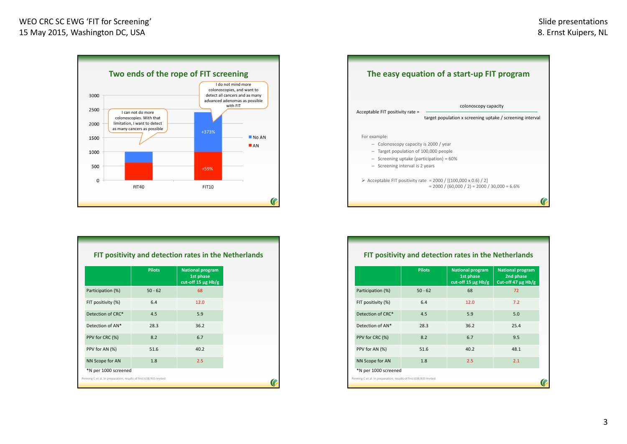

|                    | <b>Pilots</b> | <b>National program</b><br>1st phase<br>cut-off 15 $\mu$ g Hb/g |
|--------------------|---------------|-----------------------------------------------------------------|
| Participation (%)  | $50 - 62$     | 68                                                              |
| FIT positivity (%) | 6.4           | 12.0                                                            |
| Detection of CRC*  | 4.5           | 5.9                                                             |
| Detection of AN*   | 28.3          | 36.2                                                            |
| PPV for CRC (%)    | 8.2           | 6.7                                                             |
| PPV for AN (%)     | 51.6          | 40.2                                                            |
| NN Scope for AN    | 1.8           | 2.5                                                             |



|                                                                   | <b>Pilots</b> | FIT positivity and detection rates in the Netherlands<br><b>National program</b><br>1st phase<br>cut-off 15 $\mu$ g Hb/g | <b>National program</b><br>2nd phase<br>Cut-off 47 $\mu$ g Hb/g |
|-------------------------------------------------------------------|---------------|--------------------------------------------------------------------------------------------------------------------------|-----------------------------------------------------------------|
| Participation (%)                                                 | $50 - 62$     | 68                                                                                                                       | 72                                                              |
| FIT positivity (%)                                                | 6.4           | 12.0                                                                                                                     | 7.2                                                             |
| Detection of CRC*                                                 | 4.5           | 5.9                                                                                                                      | 5.0                                                             |
| Detection of AN*                                                  | 28.3          | 36.2                                                                                                                     | 25.4                                                            |
| PPV for CRC (%)                                                   | 8.2           | 6.7                                                                                                                      | 9.5                                                             |
| PPV for AN (%)                                                    | 51.6          | 40.2                                                                                                                     | 48.1                                                            |
| NN Scope for AN                                                   | 1.8           | 2.5                                                                                                                      | 2.1                                                             |
| *N per 1000 screened                                              |               |                                                                                                                          |                                                                 |
| Penning C et al. In preparation; results of first 638.935 invited |               |                                                                                                                          |                                                                 |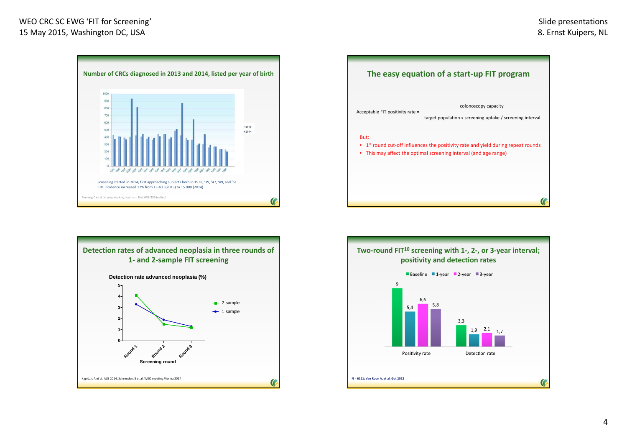## WEO CRC SC EWG 'FIT for Screening' 15 May 2015, Washington DC, USA









### 4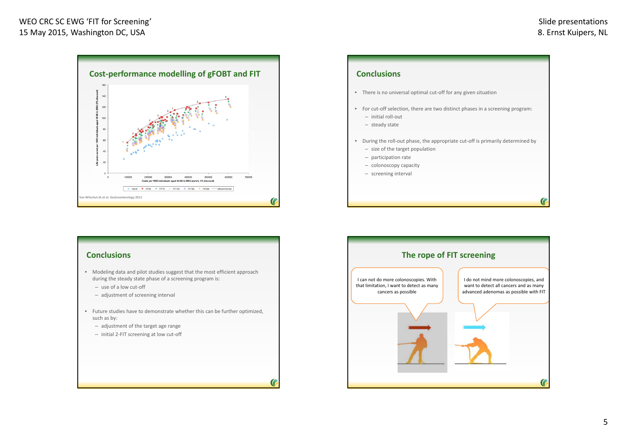



### **Conclusions**

- Modeling data and pilot studies suggest that the most efficient approach during the steady state phase of <sup>a</sup> screening program is:
	- use of <sup>a</sup> low cut‐off
	- adjustment of screening interval
- Future studies have to demonstrate whether this can be further optimized, such as by:
	- adjustment of the target age range
	- initial 2‐FIT screening at low cut‐off